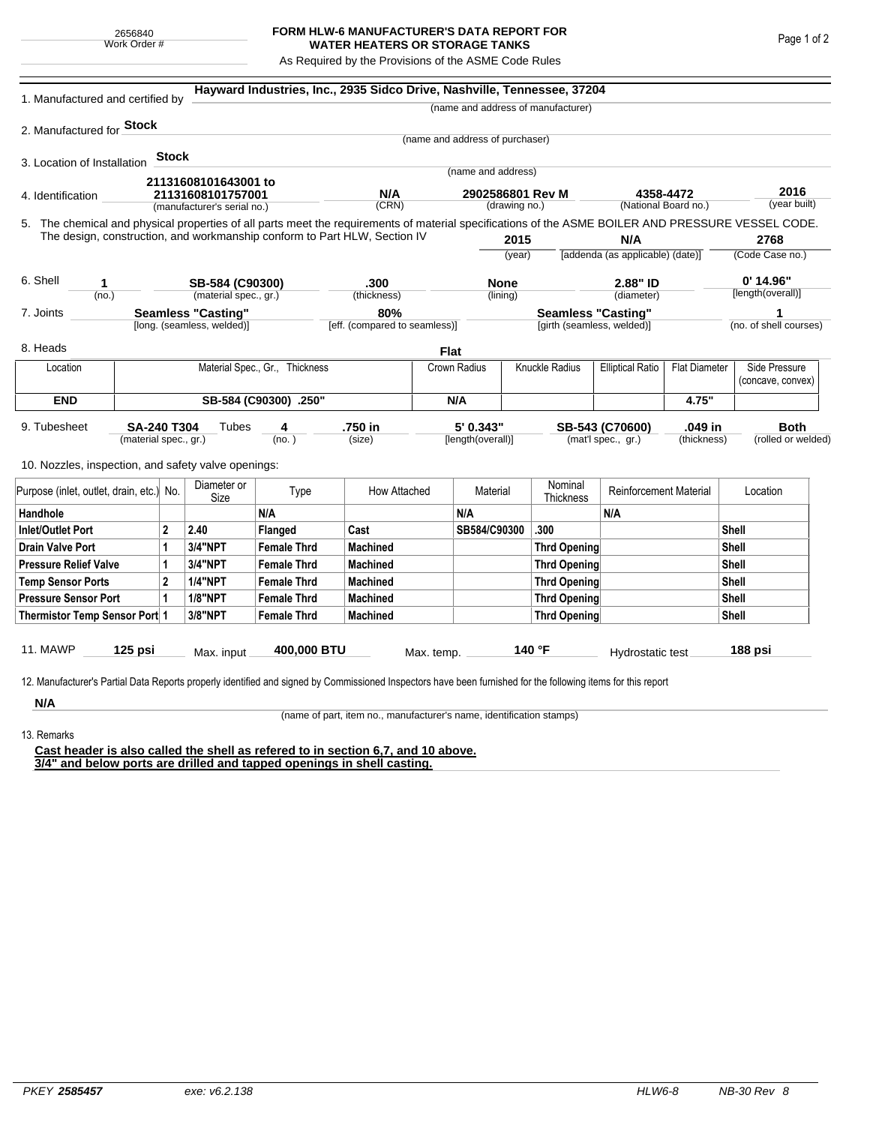## **FORM HLW-6 MANUFACTURER'S DATA REPORT FOR WATER HEATERS OR STORAGE TANKS**

As Required by the Provisions of the ASME Code Rules

| 1. Manufactured and certified by                                                                                                                              |         |                |                                |                       | Hayward Industries, Inc., 2935 Sidco Drive, Nashville, Tennessee, 37204 |              |                                       |                     |                                         |                                                                 |                         |                      |                                    |
|---------------------------------------------------------------------------------------------------------------------------------------------------------------|---------|----------------|--------------------------------|-----------------------|-------------------------------------------------------------------------|--------------|---------------------------------------|---------------------|-----------------------------------------|-----------------------------------------------------------------|-------------------------|----------------------|------------------------------------|
|                                                                                                                                                               |         |                |                                |                       |                                                                         |              |                                       |                     | (name and address of manufacturer)      |                                                                 |                         |                      |                                    |
| 2. Manufactured for <b>Stock</b>                                                                                                                              |         |                |                                |                       |                                                                         |              |                                       |                     |                                         |                                                                 |                         |                      |                                    |
|                                                                                                                                                               |         |                |                                |                       |                                                                         |              | (name and address of purchaser)       |                     |                                         |                                                                 |                         |                      |                                    |
| 3. Location of Installation                                                                                                                                   |         | <b>Stock</b>   |                                |                       |                                                                         |              |                                       |                     |                                         |                                                                 |                         |                      |                                    |
|                                                                                                                                                               |         |                | 21131608101643001 to           |                       |                                                                         |              | (name and address)                    |                     |                                         |                                                                 |                         |                      |                                    |
| 4. Identification                                                                                                                                             |         |                | 21131608101757001              |                       | N/A                                                                     |              | 2902586801 Rev M<br>(drawing no.)     |                     |                                         | 4358-4472<br>(National Board no.)                               |                         | 2016<br>(year built) |                                    |
|                                                                                                                                                               |         |                | (manufacturer's serial no.)    |                       | (CRN)                                                                   |              |                                       |                     |                                         |                                                                 |                         |                      |                                    |
| 5. The chemical and physical properties of all parts meet the requirements of material specifications of the ASME BOILER AND PRESSURE VESSEL CODE.            |         |                |                                |                       |                                                                         |              |                                       |                     |                                         |                                                                 |                         |                      |                                    |
| The design, construction, and workmanship conform to Part HLW, Section IV                                                                                     |         |                |                                |                       |                                                                         |              | 2015<br>(year)                        |                     | N/A<br>[addenda (as applicable) (date)] |                                                                 | 2768<br>(Code Case no.) |                      |                                    |
|                                                                                                                                                               |         |                |                                |                       |                                                                         |              |                                       |                     |                                         |                                                                 |                         |                      |                                    |
| 6. Shell<br>1                                                                                                                                                 |         |                | SB-584 (C90300)                |                       | .300                                                                    |              | <b>None</b>                           |                     |                                         | 2.88" ID                                                        |                         | $0'$ 14.96"          |                                    |
| (no.)                                                                                                                                                         |         |                | (material spec., gr.)          |                       | (thickness)                                                             |              | (lining)                              |                     |                                         | (diameter)                                                      |                         | [length(overall)]    |                                    |
| 7. Joints                                                                                                                                                     |         |                | <b>Seamless "Casting"</b>      |                       | 80%                                                                     |              |                                       |                     |                                         | <b>Seamless "Casting"</b>                                       |                         |                      |                                    |
|                                                                                                                                                               |         |                | [long. (seamless, welded)]     |                       | [eff. (compared to seamless)]                                           |              |                                       |                     | [girth (seamless, welded)]              |                                                                 |                         |                      | (no. of shell courses)             |
| 8. Heads                                                                                                                                                      |         |                |                                |                       |                                                                         | Flat         |                                       |                     |                                         |                                                                 |                         |                      |                                    |
| Location                                                                                                                                                      |         |                | Material Spec., Gr., Thickness |                       |                                                                         |              | Crown Radius<br><b>Knuckle Radius</b> |                     |                                         | <b>Elliptical Ratio</b>                                         | <b>Flat Diameter</b>    |                      | Side Pressure<br>(concave, convex) |
| <b>END</b>                                                                                                                                                    |         |                |                                | SB-584 (C90300) .250" |                                                                         |              | N/A                                   |                     |                                         |                                                                 | 4.75"                   |                      |                                    |
|                                                                                                                                                               |         |                |                                |                       |                                                                         |              |                                       |                     |                                         |                                                                 |                         |                      |                                    |
| 9. Tubesheet<br>SA-240 T304<br>(material spec., gr.)                                                                                                          |         |                | Tubes<br>4<br>(no. )           |                       | .750 in<br>(size)                                                       |              | 5' 0.343"<br>[length(overall)]        |                     |                                         | .049 in<br>SB-543 (C70600)<br>(mat'l spec., gr.)<br>(thickness) |                         |                      | <b>Both</b><br>(rolled or welded)  |
|                                                                                                                                                               |         |                |                                |                       |                                                                         |              |                                       |                     |                                         |                                                                 |                         |                      |                                    |
| 10. Nozzles, inspection, and safety valve openings:                                                                                                           |         |                |                                |                       |                                                                         |              |                                       |                     |                                         |                                                                 |                         |                      |                                    |
| Purpose (inlet, outlet, drain, etc.) No.                                                                                                                      |         | Diameter or    | Type                           | How Attached          |                                                                         | Material     |                                       | Nominal             | <b>Reinforcement Material</b>           |                                                                 |                         | Location             |                                    |
| Handhole                                                                                                                                                      |         | Size           | N/A                            |                       |                                                                         | N/A          |                                       | Thickness           | N/A                                     |                                                                 |                         |                      |                                    |
| $\overline{2}$<br><b>Inlet/Outlet Port</b>                                                                                                                    |         | 2.40           | Flanged                        | Cast                  |                                                                         | SB584/C90300 |                                       | .300                |                                         |                                                                 | Shell                   |                      |                                    |
| <b>Drain Valve Port</b><br>1                                                                                                                                  |         | 3/4"NPT        | <b>Female Thrd</b>             | <b>Machined</b>       |                                                                         |              |                                       | <b>Thrd Opening</b> |                                         |                                                                 |                         | Shell                |                                    |
| <b>Pressure Relief Valve</b><br>1                                                                                                                             |         | 3/4"NPT        | <b>Female Thrd</b>             | <b>Machined</b>       |                                                                         |              |                                       | Thrd Opening        |                                         |                                                                 |                         | Shell                |                                    |
| $\overline{2}$<br><b>Temp Sensor Ports</b>                                                                                                                    |         |                | <b>1/4"NPT</b>                 | <b>Female Thrd</b>    | <b>Machined</b>                                                         |              |                                       |                     | Thrd Opening                            |                                                                 | Shell                   |                      |                                    |
| <b>Pressure Sensor Port</b><br>1                                                                                                                              |         | <b>1/8"NPT</b> | <b>Female Thrd</b>             | <b>Machined</b>       |                                                                         |              | Thrd Opening                          |                     |                                         |                                                                 | Shell                   |                      |                                    |
| Thermistor Temp Sensor Port 1                                                                                                                                 |         |                | 3/8"NPT                        | <b>Female Thrd</b>    | <b>Machined</b>                                                         |              |                                       |                     | Thrd Opening                            |                                                                 | Shell                   |                      |                                    |
|                                                                                                                                                               |         |                |                                |                       |                                                                         |              |                                       |                     |                                         |                                                                 |                         |                      |                                    |
| 11. MAWP                                                                                                                                                      | 125 psi |                | Max. input                     | 400,000 BTU           | Max. temp.                                                              |              | 140 °F                                |                     |                                         | Hydrostatic test                                                |                         | 188 psi              |                                    |
|                                                                                                                                                               |         |                |                                |                       |                                                                         |              |                                       |                     |                                         |                                                                 |                         |                      |                                    |
| 12. Manufacturer's Partial Data Reports properly identified and signed by Commissioned Inspectors have been furnished for the following items for this report |         |                |                                |                       |                                                                         |              |                                       |                     |                                         |                                                                 |                         |                      |                                    |
| N/A                                                                                                                                                           |         |                |                                |                       |                                                                         |              |                                       |                     |                                         |                                                                 |                         |                      |                                    |

(name of part, item no., manufacturer's name, identification stamps)

13. Remarks

**Cast header is also called the shell as refered to in section 6,7, and 10 above. 3/4" and below ports are drilled and tapped openings in shell casting.**